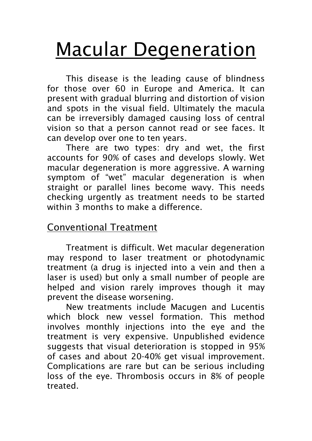# Macular Degeneration

This disease is the leading cause of blindness for those over 60 in Europe and America. It can present with gradual blurring and distortion of vision and spots in the visual field. Ultimately the macula can be irreversibly damaged causing loss of central vision so that a person cannot read or see faces. It can develop over one to ten years.

There are two types: dry and wet, the first accounts for 90% of cases and develops slowly. Wet macular degeneration is more aggressive. A warning symptom of "wet" macular degeneration is when straight or parallel lines become wavy. This needs checking urgently as treatment needs to be started within 3 months to make a difference.

## Conventional Treatment

Treatment is difficult. Wet macular degeneration may respond to laser treatment or photodynamic treatment (a drug is injected into a vein and then a laser is used) but only a small number of people are helped and vision rarely improves though it may prevent the disease worsening.

New treatments include Macugen and Lucentis which block new vessel formation. This method involves monthly injections into the eye and the treatment is very expensive. Unpublished evidence suggests that visual deterioration is stopped in 95% of cases and about 20-40% get visual improvement. Complications are rare but can be serious including loss of the eye. Thrombosis occurs in 8% of people treated.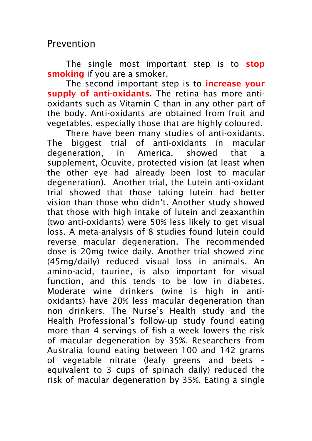#### Prevention

The single most important step is to **stop** smoking if you are a smoker.

The second important step is to **increase your** supply of anti-oxidants. The retina has more antioxidants such as Vitamin C than in any other part of the body. Anti-oxidants are obtained from fruit and vegetables, especially those that are highly coloured.

 There have been many studies of anti-oxidants. The biggest trial of anti-oxidants in macular degeneration, in America, showed that a supplement, Ocuvite, protected vision (at least when the other eye had already been lost to macular degeneration). Another trial, the Lutein anti-oxidant trial showed that those taking lutein had better vision than those who didn't. Another study showed that those with high intake of lutein and zeaxanthin (two anti-oxidants) were 50% less likely to get visual loss. A meta-analysis of 8 studies found lutein could reverse macular degeneration. The recommended dose is 20mg twice daily. Another trial showed zinc (45mg/daily) reduced visual loss in animals. An amino-acid, taurine, is also important for visual function, and this tends to be low in diabetes. Moderate wine drinkers (wine is high in antioxidants) have 20% less macular degeneration than non drinkers. The Nurse's Health study and the Health Professional's follow-up study found eating more than 4 servings of fish a week lowers the risk of macular degeneration by 35%. Researchers from Australia found eating between 100 and 142 grams of vegetable nitrate (leafy greens and beets – equivalent to 3 cups of spinach daily) reduced the risk of macular degeneration by 35%. Eating a single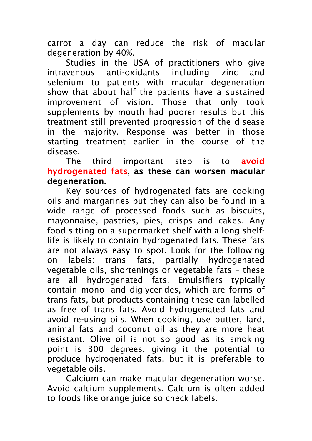carrot a day can reduce the risk of macular degeneration by 40%.

Studies in the USA of practitioners who give intravenous anti-oxidants including zinc and selenium to patients with macular degeneration show that about half the patients have a sustained improvement of vision. Those that only took supplements by mouth had poorer results but this treatment still prevented progression of the disease in the majority. Response was better in those starting treatment earlier in the course of the disease.

The third important step is to **avoid** hydrogenated fats, as these can worsen macular degeneration.

Key sources of hydrogenated fats are cooking oils and margarines but they can also be found in a wide range of processed foods such as biscuits, mayonnaise, pastries, pies, crisps and cakes. Any food sitting on a supermarket shelf with a long shelflife is likely to contain hydrogenated fats. These fats are not always easy to spot. Look for the following on labels: trans fats, partially hydrogenated vegetable oils, shortenings or vegetable fats – these are all hydrogenated fats. Emulsifiers typically contain mono- and diglycerides, which are forms of trans fats, but products containing these can labelled as free of trans fats. Avoid hydrogenated fats and avoid re-using oils. When cooking, use butter, lard, animal fats and coconut oil as they are more heat resistant. Olive oil is not so good as its smoking point is 300 degrees, giving it the potential to produce hydrogenated fats, but it is preferable to vegetable oils.

 Calcium can make macular degeneration worse. Avoid calcium supplements. Calcium is often added to foods like orange juice so check labels.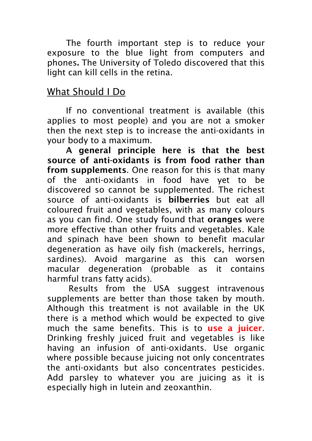The fourth important step is to reduce your exposure to the blue light from computers and phones. The University of Toledo discovered that this light can kill cells in the retina.

## What Should I Do

If no conventional treatment is available (this applies to most people) and you are not a smoker then the next step is to increase the anti-oxidants in your body to a maximum.

A general principle here is that the best source of anti-oxidants is from food rather than from supplements. One reason for this is that many of the anti-oxidants in food have yet to be discovered so cannot be supplemented. The richest source of anti-oxidants is bilberries but eat all coloured fruit and vegetables, with as many colours as you can find. One study found that oranges were more effective than other fruits and vegetables. Kale and spinach have been shown to benefit macular degeneration as have oily fish (mackerels, herrings, sardines). Avoid margarine as this can worsen macular degeneration (probable as it contains harmful trans fatty acids).

 Results from the USA suggest intravenous supplements are better than those taken by mouth. Although this treatment is not available in the UK there is a method which would be expected to give much the same benefits. This is to use a juicer. Drinking freshly juiced fruit and vegetables is like having an infusion of anti-oxidants. Use organic where possible because juicing not only concentrates the anti-oxidants but also concentrates pesticides. Add parsley to whatever you are juicing as it is especially high in lutein and zeoxanthin.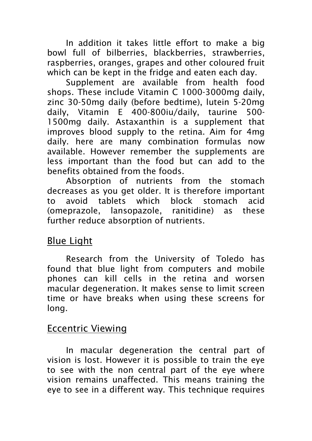In addition it takes little effort to make a big bowl full of bilberries, blackberries, strawberries, raspberries, oranges, grapes and other coloured fruit which can be kept in the fridge and eaten each day.

Supplement are available from health food shops. These include Vitamin C 1000-3000mg daily, zinc 30-50mg daily (before bedtime), lutein 5-20mg daily, Vitamin E 400-800iu/daily, taurine 500- 1500mg daily. Astaxanthin is a supplement that improves blood supply to the retina. Aim for 4mg daily. here are many combination formulas now available. However remember the supplements are less important than the food but can add to the benefits obtained from the foods.

Absorption of nutrients from the stomach decreases as you get older. It is therefore important to avoid tablets which block stomach acid (omeprazole, lansopazole, ranitidine) as these further reduce absorption of nutrients.

## Blue Light

Research from the University of Toledo has found that blue light from computers and mobile phones can kill cells in the retina and worsen macular degeneration. It makes sense to limit screen time or have breaks when using these screens for long.

#### Eccentric Viewing

 In macular degeneration the central part of vision is lost. However it is possible to train the eye to see with the non central part of the eye where vision remains unaffected. This means training the eye to see in a different way. This technique requires